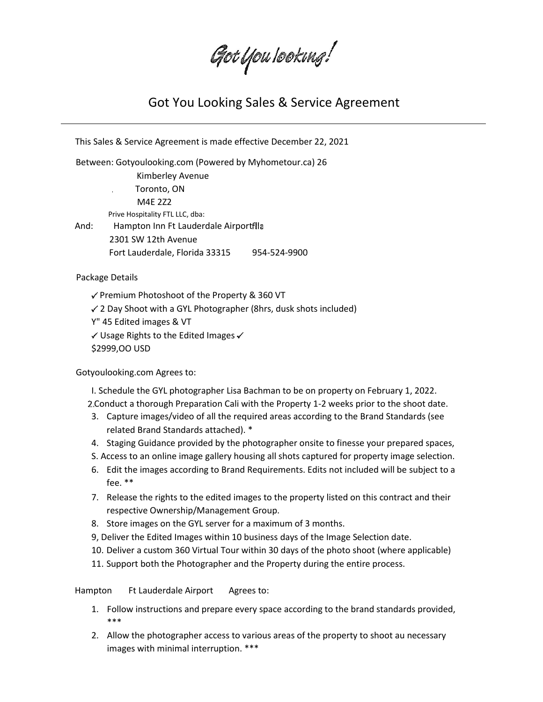Got You Iooking!

## Got You Looking Sales & Service Agreement

This Sales & Service Agreement is made effective December 22, 2021 Between: Gotyoulooking.com (Powered by Myhometour.ca) 26 Kimberley Avenue Toronto, ON M4E 2Z2 Prive Hospitality FTL LLC, dba: And: Hampton Inn Ft Lauderdale Airportflla 2301 SW 12th Avenue Fort Lauderdale, Florida 33315 954-524-9900

Package Details

 $\checkmark$  Premium Photoshoot of the Property & 360 VT

 $\checkmark$  2 Day Shoot with a GYL Photographer (8hrs, dusk shots included)

Y" 45 Edited images & VT

 $\checkmark$  Usage Rights to the Edited Images  $\checkmark$ 

\$2999,OO USD

Gotyoulooking.com Agrees to:

I. Schedule the GYL photographer Lisa Bachman to be on property on February 1, 2022. Conduct a thorough Preparation Cali with the Property 1-2 weeks prior to the shoot date.

- 3. Capture images/video of all the required areas according to the Brand Standards (see related Brand Standards attached). \*
- 4. Staging Guidance provided by the photographer onsite to finesse your prepared spaces,
- S. Access to an online image gallery housing all shots captured for property image selection.
- 6. Edit the images according to Brand Requirements. Edits not included will be subject to a fee. \*\*
- 7. Release the rights to the edited images to the property listed on this contract and their respective Ownership/Management Group.
- 8. Store images on the GYL server for a maximum of 3 months.
- 9, Deliver the Edited Images within 10 business days of the Image Selection date.
- 10. Deliver a custom 360 Virtual Tour within 30 days of the photo shoot (where applicable)
- 11. Support both the Photographer and the Property during the entire process.

Hampton Ft Lauderdale Airport Agrees to:

- 1. Follow instructions and prepare every space according to the brand standards provided, \*\*\*
- 2. Allow the photographer access to various areas of the property to shoot au necessary images with minimal interruption. \*\*\*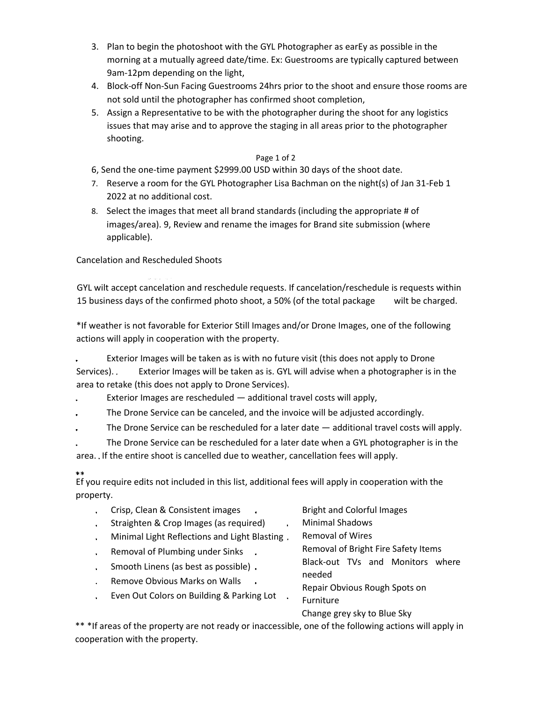- 3. Plan to begin the photoshoot with the GYL Photographer as earEy as possible in the morning at a mutually agreed date/time. Ex: Guestrooms are typically captured between 9am-12pm depending on the light,
- 4. Block-off Non-Sun Facing Guestrooms 24hrs prior to the shoot and ensure those rooms are not sold until the photographer has confirmed shoot completion,
- 5. Assign a Representative to be with the photographer during the shoot for any logistics issues that may arise and to approve the staging in all areas prior to the photographer shooting.

## Page 1 of 2

- 6, Send the one-time payment \$2999.00 USD within 30 days of the shoot date.
- 7. Reserve a room for the GYL Photographer Lisa Bachman on the night(s) of Jan 31-Feb 1 2022 at no additional cost.
- 8. Select the images that meet all brand standards (including the appropriate # of images/area). 9, Review and rename the images for Brand site submission (where applicable).

Cancelation and Rescheduled Shoots

GYL wilt accept cancelation and reschedule requests. If cancelation/reschedule is requests within 15 business days of the confirmed photo shoot, a 50% (of the total package wilt be charged.

\*If weather is not favorable for Exterior Still Images and/or Drone Images, one of the following actions will apply in cooperation with the property.

Exterior Images will be taken as is with no future visit (this does not apply to Drone Services). Exterior Images will be taken as is. GYL will advise when a photographer is in the area to retake (this does not apply to Drone Services).

- Exterior Images are rescheduled additional travel costs will apply,
- The Drone Service can be canceled, and the invoice will be adjusted accordingly.
- The Drone Service can be rescheduled for a later date additional travel costs will apply.
- The Drone Service can be rescheduled for a later date when a GYL photographer is in the area. If the entire shoot is cancelled due to weather, cancellation fees will apply.

## \*\*

Ef you require edits not included in this list, additional fees will apply in cooperation with the property.

- $\mathbf{r}^{\left(1\right)}$ Crisp, Clean & Consistent images
- Straighten & Crop Images (as required)
- Minimal Light Reflections and Light Blasting
- Removal of Plumbing under Sinks  $\mathbf{r}^{(1)}$
- Smooth Linens (as best as possible)  $\mathcal{L}^{\text{eff}}$
- Remove Obvious Marks on Walls  $\mathbf{a}^{\pm}$
- Even Out Colors on Building & Parking Lot

Bright and Colorful Images

- Minimal Shadows
	- Removal of Wires

Removal of Bright Fire Safety Items

Black-out TVs and Monitors where

needed

Repair Obvious Rough Spots on

Furniture

Change grey sky to Blue Sky

\*\* \*If areas of the property are not ready or inaccessible, one of the following actions will apply in cooperation with the property.